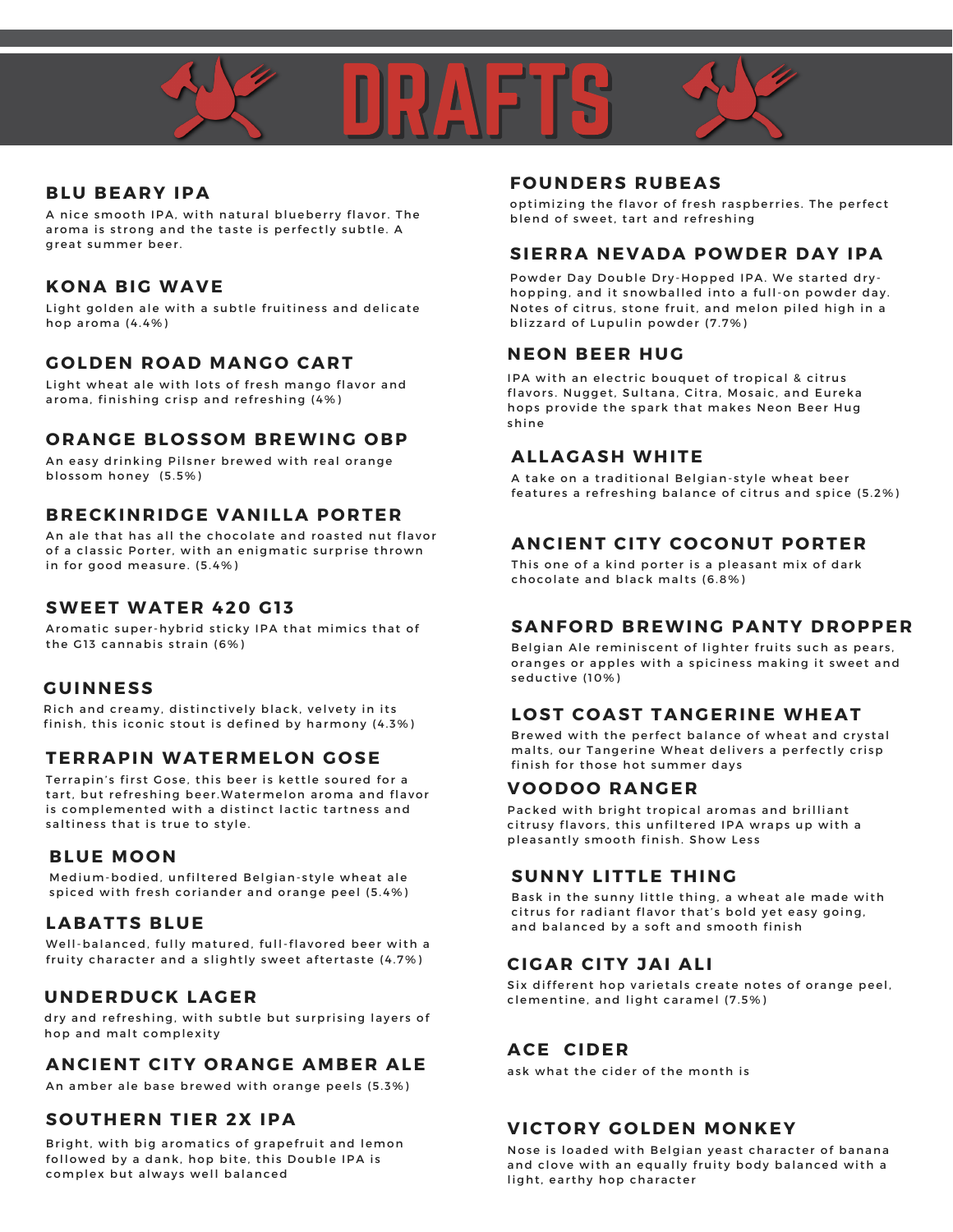

#### **BLU BEARY IPA**

A nice smooth IPA, with natural blueberry flavor. The aroma is strong and the taste is perfectly subtle. A great summer beer.

#### **K O NA BIG WAVE**

Light golden ale with a subtle fruitiness and delicate hop aroma (4.4%)

#### **G O LDEN R O AD MANG O CART**

Light wheat ale with lots of fresh mango flavor and aroma, finishing crisp and refreshing (4%)

#### **O RANGE BL O SS OM BREWING O BP**

An easy drinking Pilsner brewed with real orange blos som honey (5.5%)

#### **BRECKINRIDGE VANILLA P O RTER**

An ale that has all the chocolate and roasted nut flavor of a classic Porter, with an enigmatic surprise thrown in for good measure. (5.4%)

#### **SWEET WATER 420 G1 3**

Aromatic super-hybrid sticky IPA that mimics that of the G13 cannabis strain (6%)

#### **GUINNESS**

Rich and creamy, distinctively black, velvety in its finish, this iconic stout is defined by harmony  $(4.3\%)$ 

#### **TERRAPIN WATERMEL O N G O SE**

Terrapin's first Gose, this beer is kettle soured for a tart, but refreshing beer. Watermelon aroma and flavor is complemented with a distinct lactic tartness and saltiness that is true to style.

#### **BLUE MO O N**

Medium-bodied, unfiltered Belgian-style wheat ale spiced with fresh coriander and orange peel (5.4%)

#### **LABATTS BLUE**

Well-balanced, fully matured, full-flavored beer with a fruity character and a slightly sweet aftertaste (4.7%)

#### **UNDERDUCK LAGER**

dry and refreshing, with subtle but surprising layers of hop and malt complexity

#### **ANCIENT CITY O RANGE AMBER ALE**

An amber ale base brewed with orange peels (5.3%)

#### **S O UTHERN TIER 2X IPA**

Bright, with big aromatics of grapefruit and lemon followed by a dank, hop bite, this Double IPA is complex but always well balanced

#### **F O UNDERS RUBEAS**

optimizing the flavor of fresh raspberries. The perfect blend of sweet, tart and refreshing

#### **SIERRA NEVADA P OWDER DAY IPA**

Powder Day Double Dry-Hopped IPA. We started dryhopping, and it snowballed into a full-on powder day. Notes of citrus, stone fruit, and melon piled high in a blizzard of Lupulin powder (7.7%)

#### **NE O N BEER HUG**

IPA with an electric bouquet of tropical & citrus flavors. Nugget, Sultana, Citra, Mosaic, and Eureka hops provide the spark that makes Neon Beer Hug shine

#### **ALLAGASH WHITE**

A take on a traditional Belgian-style wheat beer features a refreshing balance of citrus and spice (5.2%)

#### **ANCIENT CITY C O C O NUT P O RTER**

This one of a kind porter is a pleasant mix of dark chocolate and black malts (6.8%)

#### **SANF O RD BREWING PANTY DR O PPER**

Belgian Ale reminiscent of lighter fruits such as pears, oranges or apples with a spiciness making it sweet and seductive (10%)

#### **L O ST C O AST TANGERINE WHEAT**

Brewed with the perfect balance of wheat and crystal malts, our Tangerine Wheat delivers a perfectly crisp finish for those hot summer days

#### **V O O D O O RANGER**

Packed with bright tropical aromas and brilliant citrusy flavors, this unfiltered IPA wraps up with a pleasantly smooth finish. [Show](https://untappd.com/b/new-belgium-brewing-company-voodoo-ranger-juicy-haze-ipa/2382318#) Less

#### **SUNNY LITTLE THING**

Bask in the sunny little thing, a wheat ale made with citrus for radiant flavor that's bold yet easy going, and balanced by a soft and smooth finish

#### **CIGAR CITY JAI ALI**

Six different hop varietals create notes of orange peel, clementine, and light caramel (7.5%)

#### **ACE CIDER**

ask what the cider of the month is

#### **VICT O RY G O LDEN MO NKEY**

Nose is loaded with Belgian yeast character of banana and clove with an equally fruity body balanced with a light, earthy hop character